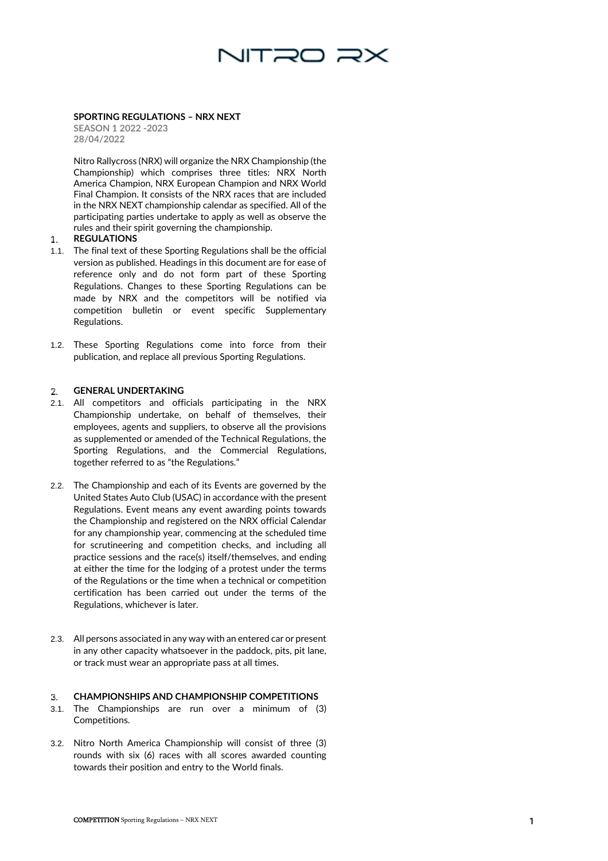

## **SPORTING REGULATIONS – NRX NEXT**

**SEASON 1 2022 -2023 28/04/2022**

Nitro Rallycross (NRX) will organize the NRX Championship (the Championship) which comprises three titles: NRX North America Champion, NRX European Champion and NRX World Final Champion. It consists of the NRX races that are included in the NRX NEXT championship calendar as specified. All of the participating parties undertake to apply as well as observe the rules and their spirit governing the championship.

#### $\mathbf{1}$ . **REGULATIONS**

- 1.1. The final text of these Sporting Regulations shall be the official version as published. Headings in this document are for ease of reference only and do not form part of these Sporting Regulations. Changes to these Sporting Regulations can be made by NRX and the competitors will be notified via competition bulletin or event specific Supplementary Regulations.
- 1.2. These Sporting Regulations come into force from their publication, and replace all previous Sporting Regulations.

### **GENERAL UNDERTAKING** 2.

- 2.1. All competitors and officials participating in the NRX Championship undertake, on behalf of themselves, their employees, agents and suppliers, to observe all the provisions as supplemented or amended of the Technical Regulations, the Sporting Regulations, and the Commercial Regulations, together referred to as "the Regulations."
- 2.2. The Championship and each of its Events are governed by the United States Auto Club (USAC) in accordance with the present Regulations. Event means any event awarding points towards the Championship and registered on the NRX official Calendar for any championship year, commencing at the scheduled time for scrutineering and competition checks, and including all practice sessions and the race(s) itself/themselves, and ending at either the time for the lodging of a protest under the terms of the Regulations or the time when a technical or competition certification has been carried out under the terms of the Regulations, whichever is later.
- 2.3. All persons associated in any way with an entered car or present in any other capacity whatsoever in the paddock, pits, pit lane, or track must wear an appropriate pass at all times.

#### З. **CHAMPIONSHIPS AND CHAMPIONSHIP COMPETITIONS**

- 3.1. The Championships are run over a minimum of (3) Competitions.
- 3.2. Nitro North America Championship will consist of three (3) rounds with six (6) races with all scores awarded counting towards their position and entry to the World finals.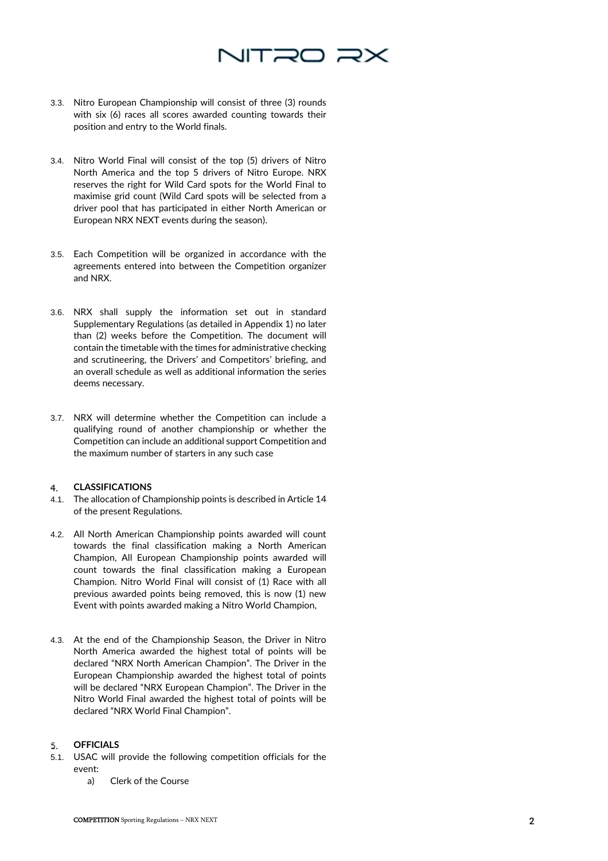# NITRO RX

- 3.3. Nitro European Championship will consist of three (3) rounds with six (6) races all scores awarded counting towards their position and entry to the World finals.
- 3.4. Nitro World Final will consist of the top (5) drivers of Nitro North America and the top 5 drivers of Nitro Europe. NRX reserves the right for Wild Card spots for the World Final to maximise grid count (Wild Card spots will be selected from a driver pool that has participated in either North American or European NRX NEXT events during the season).
- 3.5. Each Competition will be organized in accordance with the agreements entered into between the Competition organizer and NRX.
- 3.6. NRX shall supply the information set out in standard Supplementary Regulations (as detailed in Appendix 1) no later than (2) weeks before the Competition. The document will contain the timetable with the times for administrative checking and scrutineering, the Drivers' and Competitors' briefing, and an overall schedule as well as additional information the series deems necessary.
- 3.7. NRX will determine whether the Competition can include a qualifying round of another championship or whether the Competition can include an additional support Competition and the maximum number of starters in any such case

#### **CLASSIFICATIONS**  $4.$

- 4.1. The allocation of Championship points is described in Article 14 of the present Regulations.
- 4.2. All North American Championship points awarded will count towards the final classification making a North American Champion, All European Championship points awarded will count towards the final classification making a European Champion. Nitro World Final will consist of (1) Race with all previous awarded points being removed, this is now (1) new Event with points awarded making a Nitro World Champion,
- 4.3. At the end of the Championship Season, the Driver in Nitro North America awarded the highest total of points will be declared "NRX North American Champion". The Driver in the European Championship awarded the highest total of points will be declared "NRX European Champion". The Driver in the Nitro World Final awarded the highest total of points will be declared "NRX World Final Champion".

### **OFFICIALS** 5.

- 5.1. USAC will provide the following competition officials for the event:
	- a) Clerk of the Course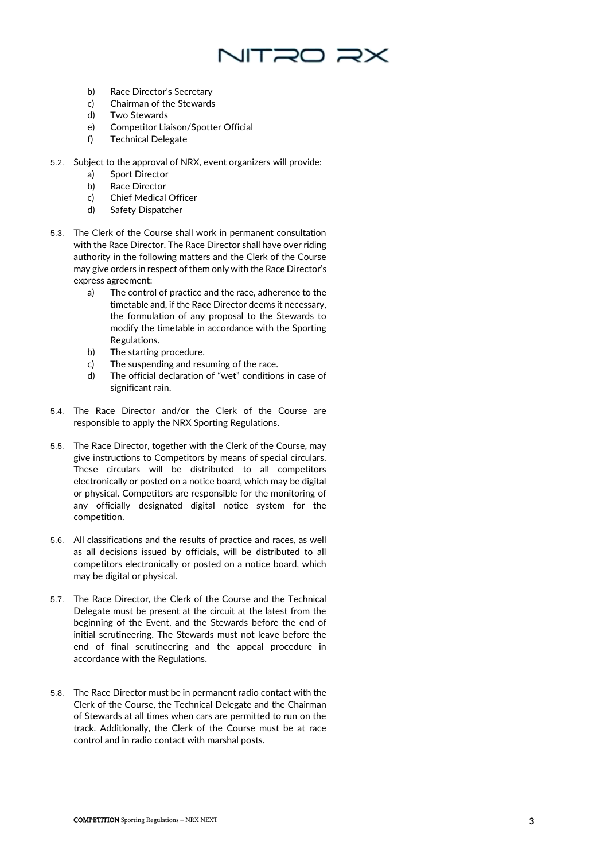

- b) Race Director's Secretary
- c) Chairman of the Stewards
- d) Two Stewards
- e) Competitor Liaison/Spotter Official
- f) Technical Delegate
- 5.2. Subject to the approval of NRX, event organizers will provide:
	- a) Sport Director
	- b) Race Director
	- c) Chief Medical Officer
	- d) Safety Dispatcher
- 5.3. The Clerk of the Course shall work in permanent consultation with the Race Director. The Race Director shall have over riding authority in the following matters and the Clerk of the Course may give orders in respect of them only with the Race Director's express agreement:
	- a) The control of practice and the race, adherence to the timetable and, if the Race Director deems it necessary, the formulation of any proposal to the Stewards to modify the timetable in accordance with the Sporting Regulations.
	- b) The starting procedure.
	- c) The suspending and resuming of the race.
	- d) The official declaration of "wet" conditions in case of significant rain.
- 5.4. The Race Director and/or the Clerk of the Course are responsible to apply the NRX Sporting Regulations.
- 5.5. The Race Director, together with the Clerk of the Course, may give instructions to Competitors by means of special circulars. These circulars will be distributed to all competitors electronically or posted on a notice board, which may be digital or physical. Competitors are responsible for the monitoring of any officially designated digital notice system for the competition.
- 5.6. All classifications and the results of practice and races, as well as all decisions issued by officials, will be distributed to all competitors electronically or posted on a notice board, which may be digital or physical.
- 5.7. The Race Director, the Clerk of the Course and the Technical Delegate must be present at the circuit at the latest from the beginning of the Event, and the Stewards before the end of initial scrutineering. The Stewards must not leave before the end of final scrutineering and the appeal procedure in accordance with the Regulations.
- 5.8. The Race Director must be in permanent radio contact with the Clerk of the Course, the Technical Delegate and the Chairman of Stewards at all times when cars are permitted to run on the track. Additionally, the Clerk of the Course must be at race control and in radio contact with marshal posts.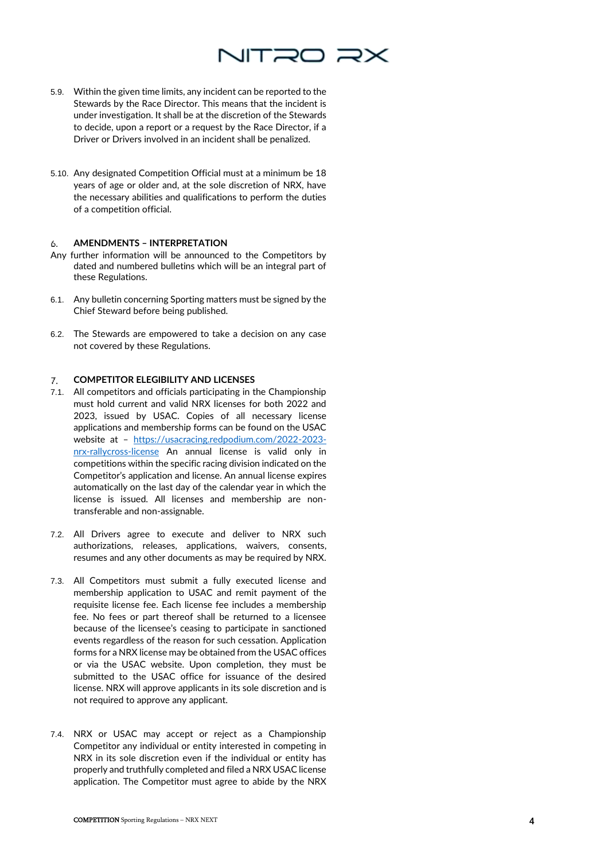

- 5.9. Within the given time limits, any incident can be reported to the Stewards by the Race Director. This means that the incident is under investigation. It shall be at the discretion of the Stewards to decide, upon a report or a request by the Race Director, if a Driver or Drivers involved in an incident shall be penalized.
- 5.10. Any designated Competition Official must at a minimum be 18 years of age or older and, at the sole discretion of NRX, have the necessary abilities and qualifications to perform the duties of a competition official.

### **AMENDMENTS – INTERPRETATION** 6.

- Any further information will be announced to the Competitors by dated and numbered bulletins which will be an integral part of these Regulations.
- 6.1. Any bulletin concerning Sporting matters must be signed by the Chief Steward before being published.
- 6.2. The Stewards are empowered to take a decision on any case not covered by these Regulations.

### **COMPETITOR ELEGIBILITY AND LICENSES**  $\mathcal{T}$ .

- 7.1. All competitors and officials participating in the Championship must hold current and valid NRX licenses for both 2022 and 2023, issued by USAC. Copies of all necessary license applications and membership forms can be found on the USAC website at – [https://usacracing.redpodium.com/2022-2023](https://usacracing.redpodium.com/2022-2023-nrx-rallycross-license) [nrx-rallycross-license](https://usacracing.redpodium.com/2022-2023-nrx-rallycross-license) An annual license is valid only in competitions within the specific racing division indicated on the Competitor's application and license. An annual license expires automatically on the last day of the calendar year in which the license is issued. All licenses and membership are nontransferable and non-assignable.
- 7.2. All Drivers agree to execute and deliver to NRX such authorizations, releases, applications, waivers, consents, resumes and any other documents as may be required by NRX.
- 7.3. All Competitors must submit a fully executed license and membership application to USAC and remit payment of the requisite license fee. Each license fee includes a membership fee. No fees or part thereof shall be returned to a licensee because of the licensee's ceasing to participate in sanctioned events regardless of the reason for such cessation. Application forms for a NRX license may be obtained from the USAC offices or via the USAC website. Upon completion, they must be submitted to the USAC office for issuance of the desired license. NRX will approve applicants in its sole discretion and is not required to approve any applicant.
- 7.4. NRX or USAC may accept or reject as a Championship Competitor any individual or entity interested in competing in NRX in its sole discretion even if the individual or entity has properly and truthfully completed and filed a NRX USAC license application. The Competitor must agree to abide by the NRX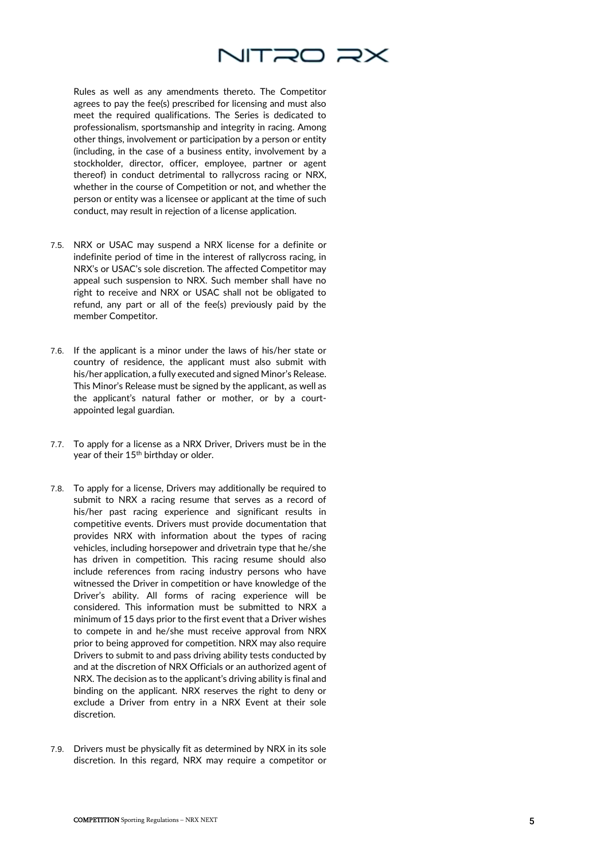

Rules as well as any amendments thereto. The Competitor agrees to pay the fee(s) prescribed for licensing and must also meet the required qualifications. The Series is dedicated to professionalism, sportsmanship and integrity in racing. Among other things, involvement or participation by a person or entity (including, in the case of a business entity, involvement by a stockholder, director, officer, employee, partner or agent thereof) in conduct detrimental to rallycross racing or NRX, whether in the course of Competition or not, and whether the person or entity was a licensee or applicant at the time of such conduct, may result in rejection of a license application.

- 7.5. NRX or USAC may suspend a NRX license for a definite or indefinite period of time in the interest of rallycross racing, in NRX's or USAC's sole discretion. The affected Competitor may appeal such suspension to NRX. Such member shall have no right to receive and NRX or USAC shall not be obligated to refund, any part or all of the fee(s) previously paid by the member Competitor.
- 7.6. If the applicant is a minor under the laws of his/her state or country of residence, the applicant must also submit with his/her application, a fully executed and signed Minor's Release. This Minor's Release must be signed by the applicant, as well as the applicant's natural father or mother, or by a court appointed legal guardian.
- 7.7. To apply for a license as a NRX Driver, Drivers must be in the year of their 15<sup>th</sup> birthday or older.
- 7.8. To apply for a license, Drivers may additionally be required to submit to NRX a racing resume that serves as a record of his/her past racing experience and significant results in competitive events. Drivers must provide documentation that provides NRX with information about the types of racing vehicles, including horsepower and drivetrain type that he/she has driven in competition. This racing resume should also include references from racing industry persons who have witnessed the Driver in competition or have knowledge of the Driver's ability. All forms of racing experience will be considered. This information must be submitted to NRX a minimum of 15 days prior to the first event that a Driver wishes to compete in and he/she must receive approval from NRX prior to being approved for competition. NRX may also require Drivers to submit to and pass driving ability tests conducted by and at the discretion of NRX Officials or an authorized agent of NRX. The decision as to the applicant's driving ability is final and binding on the applicant. NRX reserves the right to deny or exclude a Driver from entry in a NRX Event at their sole discretion.
- 7.9. Drivers must be physically fit as determined by NRX in its sole discretion. In this regard, NRX may require a competitor or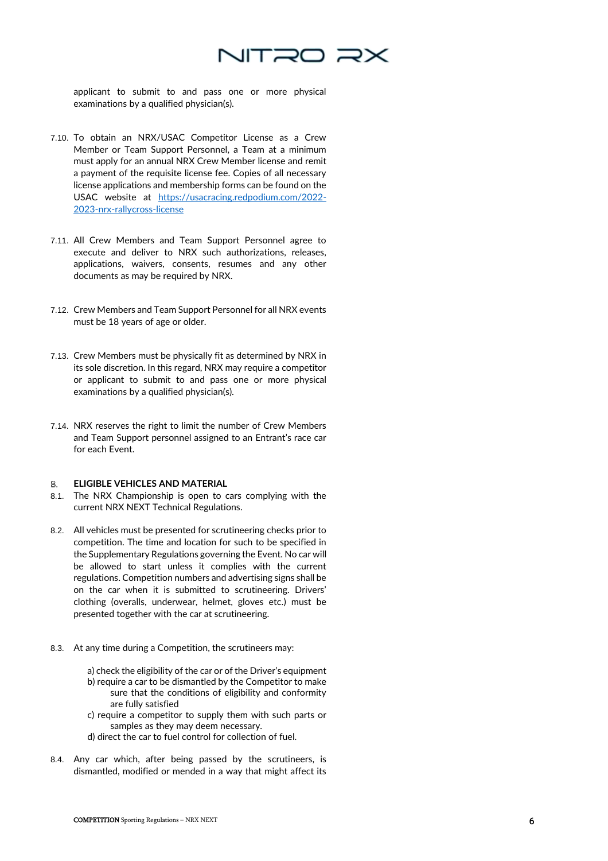

applicant to submit to and pass one or more physical examinations by a qualified physician(s).

- 7.10. To obtain an NRX/USAC Competitor License as a Crew Member or Team Support Personnel, a Team at a minimum must apply for an annual NRX Crew Member license and remit a payment of the requisite license fee. Copies of all necessary license applications and membership forms can be found on the USAC website at [https://usacracing.redpodium.com/2022-](https://usacracing.redpodium.com/2022-2023-nrx-rallycross-license) [2023-nrx-rallycross-license](https://usacracing.redpodium.com/2022-2023-nrx-rallycross-license)
- 7.11. All Crew Members and Team Support Personnel agree to execute and deliver to NRX such authorizations, releases, applications, waivers, consents, resumes and any other documents as may be required by NRX.
- 7.12. Crew Members and Team Support Personnel for all NRX events must be 18 years of age or older.
- 7.13. Crew Members must be physically fit as determined by NRX in its sole discretion. In this regard, NRX may require a competitor or applicant to submit to and pass one or more physical examinations by a qualified physician(s).
- 7.14. NRX reserves the right to limit the number of Crew Members and Team Support personnel assigned to an Entrant's race car for each Event.

#### 8. **ELIGIBLE VEHICLES AND MATERIAL**

- 8.1. The NRX Championship is open to cars complying with the current NRX NEXT Technical Regulations.
- 8.2. All vehicles must be presented for scrutineering checks prior to competition. The time and location for such to be specified in the Supplementary Regulations governing the Event. No car will be allowed to start unless it complies with the current regulations. Competition numbers and advertising signs shall be on the car when it is submitted to scrutineering. Drivers' clothing (overalls, underwear, helmet, gloves etc.) must be presented together with the car at scrutineering.
- 8.3. At any time during a Competition, the scrutineers may:
	- a) check the eligibility of the car or of the Driver's equipment b) require a car to be dismantled by the Competitor to make sure that the conditions of eligibility and conformity are fully satisfied
	- c) require a competitor to supply them with such parts or samples as they may deem necessary.
	- d) direct the car to fuel control for collection of fuel.
- 8.4. Any car which, after being passed by the scrutineers, is dismantled, modified or mended in a way that might affect its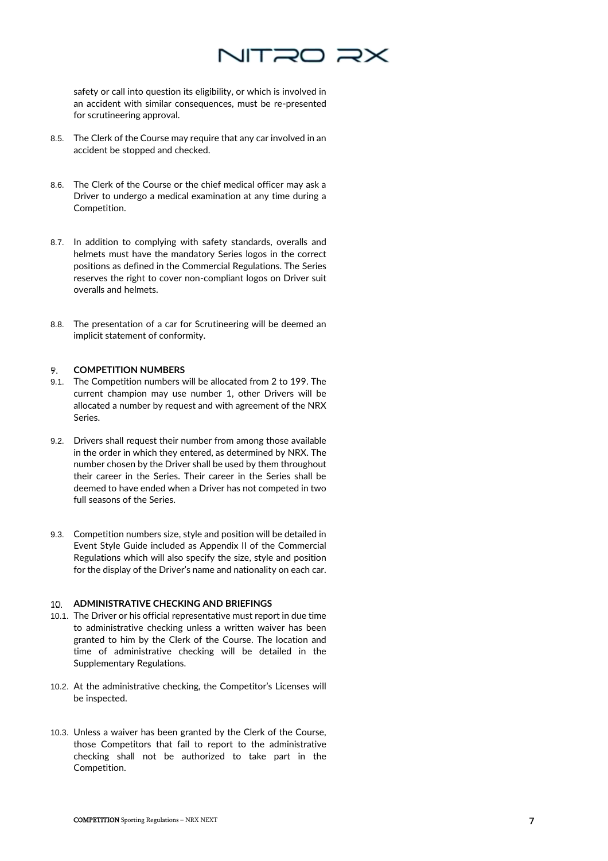

safety or call into question its eligibility, or which is involved in an accident with similar consequences, must be re-presented for scrutineering approval.

- 8.5. The Clerk of the Course may require that any car involved in an accident be stopped and checked.
- 8.6. The Clerk of the Course or the chief medical officer may ask a Driver to undergo a medical examination at any time during a Competition.
- 8.7. In addition to complying with safety standards, overalls and helmets must have the mandatory Series logos in the correct positions as defined in the Commercial Regulations. The Series reserves the right to cover non-compliant logos on Driver suit overalls and helmets.
- 8.8. The presentation of a car for Scrutineering will be deemed an implicit statement of conformity.

#### 9. **COMPETITION NUMBERS**

- 9.1. The Competition numbers will be allocated from 2 to 199. The current champion may use number 1, other Drivers will be allocated a number by request and with agreement of the NRX Series.
- 9.2. Drivers shall request their number from among those available in the order in which they entered, as determined by NRX. The number chosen by the Driver shall be used by them throughout their career in the Series. Their career in the Series shall be deemed to have ended when a Driver has not competed in two full seasons of the Series.
- 9.3. Competition numbers size, style and position will be detailed in Event Style Guide included as Appendix II of the Commercial Regulations which will also specify the size, style and position for the display of the Driver's name and nationality on each car.

## **ADMINISTRATIVE CHECKING AND BRIEFINGS**

- 10.1. The Driver or his official representative must report in due time to administrative checking unless a written waiver has been granted to him by the Clerk of the Course. The location and time of administrative checking will be detailed in the Supplementary Regulations.
- 10.2. At the administrative checking, the Competitor's Licenses will be inspected.
- 10.3. Unless a waiver has been granted by the Clerk of the Course, those Competitors that fail to report to the administrative checking shall not be authorized to take part in the Competition.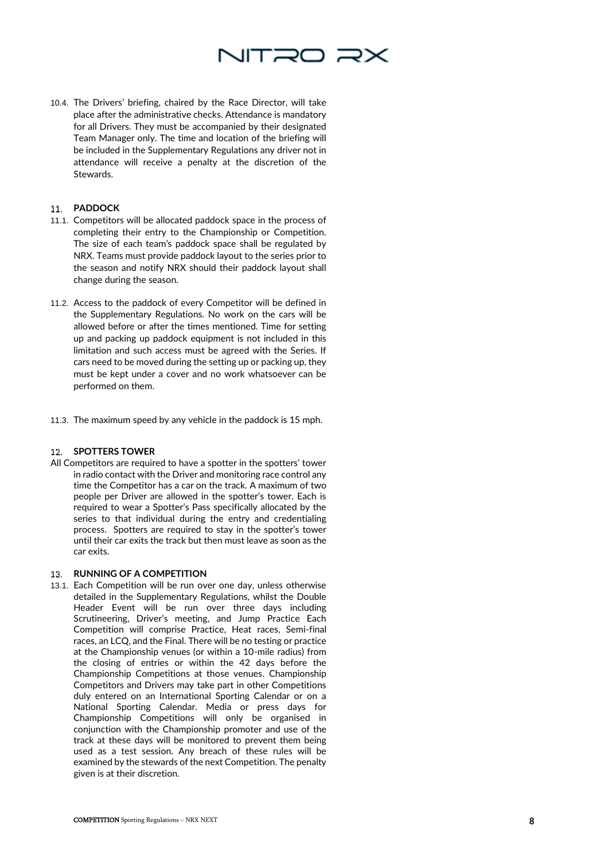

10.4. The Drivers' briefing, chaired by the Race Director, will take place after the administrative checks. Attendance is mandatory for all Drivers. They must be accompanied by their designated Team Manager only. The time and location of the briefing will be included in the Supplementary Regulations any driver not in attendance will receive a penalty at the discretion of the Stewards.

# **PADDOCK**

- 11.1. Competitors will be allocated paddock space in the process of completing their entry to the Championship or Competition. The size of each team's paddock space shall be regulated by NRX. Teams must provide paddock layout to the series prior to the season and notify NRX should their paddock layout shall change during the season.
- 11.2. Access to the paddock of every Competitor will be defined in the Supplementary Regulations. No work on the cars will be allowed before or after the times mentioned. Time for setting up and packing up paddock equipment is not included in this limitation and such access must be agreed with the Series. If cars need to be moved during the setting up or packing up, they must be kept under a cover and no work whatsoever can be performed on them.
- 11.3. The maximum speed by any vehicle in the paddock is 15 mph.

### **SPOTTERS TOWER**

All Competitors are required to have a spotter in the spotters' tower in radio contact with the Driver and monitoring race control any time the Competitor has a car on the track. A maximum of two people per Driver are allowed in the spotter's tower. Each is required to wear a Spotter's Pass specifically allocated by the series to that individual during the entry and credentialing process. Spotters are required to stay in the spotter's tower until their car exits the track but then must leave as soon as the car exits.

### **RUNNING OF A COMPETITION**

13.1. Each Competition will be run over one day, unless otherwise detailed in the Supplementary Regulations, whilst the Double Header Event will be run over three days including Scrutineering, Driver's meeting, and Jump Practice Each Competition will comprise Practice, Heat races, Semi -final races, an LCQ, and the Final. There will be no testing or practice at the Championship venues (or within a 10 -mile radius) from the closing of entries or within the 42 days before the Championship Competitions at those venues. Championship Competitors and Drivers may take part in other Competitions duly entered on an International Sporting Calendar or on a National Sporting Calendar. Media or press days for Championship Competitions will only be organised in conjunction with the Championship promoter and use of the track at these days will be monitored to prevent them being used as a test session. Any breach of these rules will be examined by the stewards of the next Competition. The penalty given is at their discretion.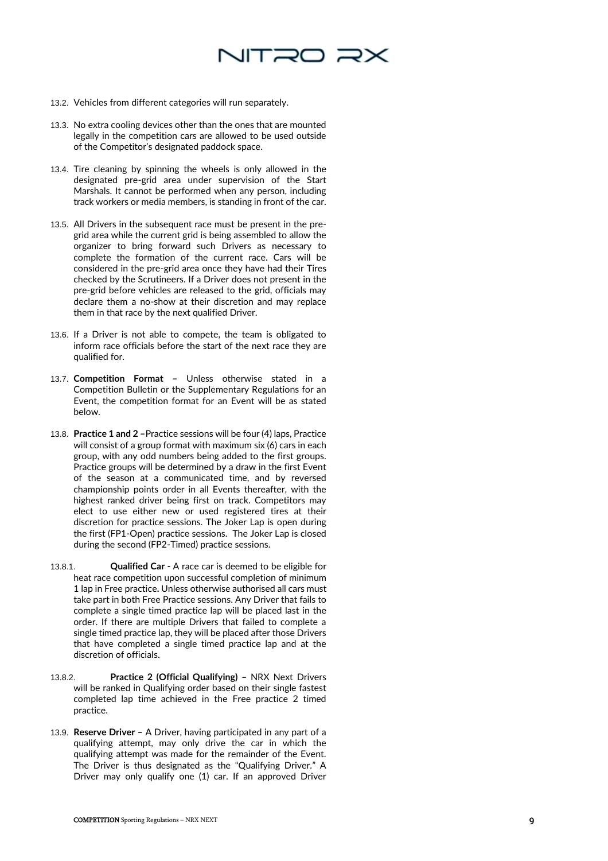

- 13.2. Vehicles from different categories will run separately.
- 13.3. No extra cooling devices other than the ones that are mounted legally in the competition cars are allowed to be used outside of the Competitor's designated paddock space.
- 13.4. Tire cleaning by spinning the wheels is only allowed in the designated pre -grid area under supervision of the Start Marshals. It cannot be performed when any person, including track workers or media members, is standing in front of the car.
- 13.5. All Drivers in the subsequent race must be present in the pre grid area while the current grid is being assembled to allow the organizer to bring forward such Drivers as necessary to complete the formation of the current race. Cars will be considered in the pre -grid area once they have had their Tires checked by the Scrutineers. If a Driver does not present in the pre -grid before vehicles are released to the grid, officials may declare them a no -show at their discretion and may replace them in that race by the next qualified Driver.
- 13.6. If a Driver is not able to compete, the team is obligated to inform race officials before the start of the next race they are qualified for.
- 13.7. **Competition Format –** Unless otherwise stated in a Competition Bulletin or the Supplementary Regulations for an Event, the competition format for an Event will be as stated below.
- 13.8. Practice 1 and 2 Practice sessions will be four (4) laps, Practice will consist of a group format with maximum six (6) cars in each group, with any odd numbers being added to the first groups. Practice groups will be determined by a draw in the first Event of the season at a communicated time, and by reversed championship points order in all Events thereafter, with the highest ranked driver being first on track. Competitors may elect to use either new or used registered tires at their discretion for practice sessions. The Joker Lap is open during the first (FP1 -Open) practice sessions. The Joker Lap is closed during the second (FP2 -Timed) practice sessions.
- 13.8.1. **Qualified Car -** A race car is deemed to be eligible for heat race competition upon successful completion of minimum 1 lap in Free practice**.** Unless otherwise authorised all cars must take part in both Free Practice sessions. Any Driver that fails to complete a single timed practice lap will be placed last in the order. If there are multiple Drivers that failed to complete a single timed practice lap, they will be placed after those Drivers that have completed a single timed practice lap and at the discretion of officials.
- 13.8.2. **Practice 2 (Official Qualifying) –** NRX Next Drivers will be ranked in Qualifying order based on their single fastest completed lap time achieved in the Free practice 2 timed practice.
- 13.9. Reserve Driver A Driver, having participated in any part of a qualifying attempt, may only drive the car in which the qualifying attempt was made for the remainder of the Event. The Driver is thus designated as the "Qualifying Driver." A Driver may only qualify one (1) car. If an approved Driver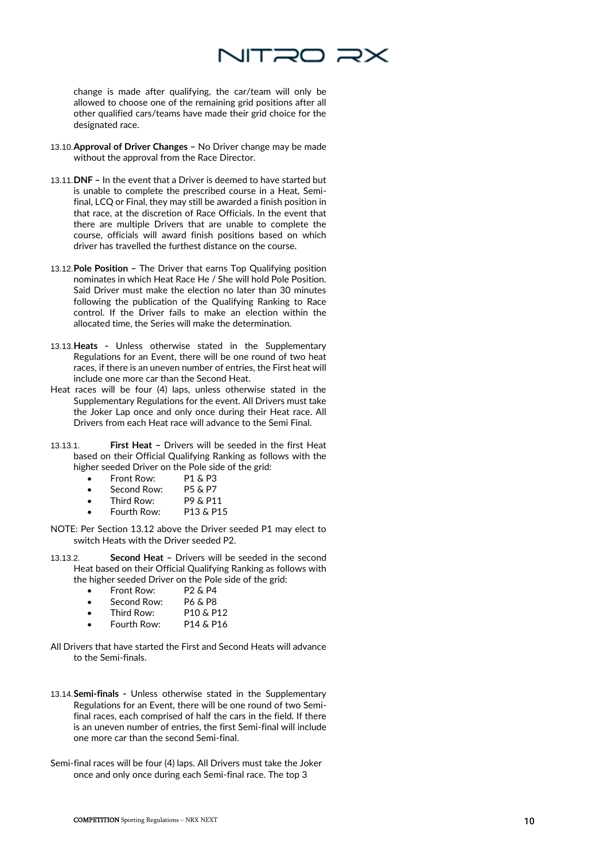

change is made after qualifying, the car/team will only be allowed to choose one of the remaining grid positions after all other qualified cars/teams have made their grid choice for the designated race.

- 13.10.**Approval of Driver Changes –** No Driver change may be made without the approval from the Race Director.
- 13.11.**DNF –** In the event that a Driver is deemed to have started but is unable to complete the prescribed course in a Heat, Semifinal, LCQ or Final, they may still be awarded a finish position in that race, at the discretion of Race Officials. In the event that there are multiple Drivers that are unable to complete the course, officials will award finish positions based on which driver has travelled the furthest distance on the course.
- 13.12.**Pole Position –** The Driver that earns Top Qualifying position nominates in which Heat Race He / She will hold Pole Position. Said Driver must make the election no later than 30 minutes following the publication of the Qualifying Ranking to Race control. If the Driver fails to make an election within the allocated time, the Series will make the determination.
- 13.13.**Heats -** Unless otherwise stated in the Supplementary Regulations for an Event, there will be one round of two heat races, if there is an uneven number of entries, the First heat will include one more car than the Second Heat.
- Heat races will be four (4) laps, unless otherwise stated in the Supplementary Regulations for the event. All Drivers must take the Joker Lap once and only once during their Heat race. All Drivers from each Heat race will advance to the Semi Final.
- 13.13.1. **First Heat –** Drivers will be seeded in the first Heat based on their Official Qualifying Ranking as follows with the higher seeded Driver on the Pole side of the grid:
	- Front Row: P1 & P3
	- Second Row: P5 & P7<br>Third Row: P9 & P11
	-
	- Third Row: P9 & P11<br>• Fourth Row: P13 & P15 Fourth Row:
- NOTE: Per Section 13.12 above the Driver seeded P1 may elect to switch Heats with the Driver seeded P2.
- 13.13.2. **Second Heat –** Drivers will be seeded in the second Heat based on their Official Qualifying Ranking as follows with the higher seeded Driver on the Pole side of the grid:
	- Front Row: P2 & P4<br>Second Row: P6 & P8
	- Second Row:
	- Third Row: P10 & P12
	- Fourth Row: P14 & P16
- All Drivers that have started the First and Second Heats will advance to the Semi-finals.
- 13.14.**Semi-finals -** Unless otherwise stated in the Supplementary Regulations for an Event, there will be one round of two Semifinal races, each comprised of half the cars in the field. If there is an uneven number of entries, the first Semi-final will include one more car than the second Semi-final.
- Semi-final races will be four (4) laps. All Drivers must take the Joker once and only once during each Semi-final race. The top 3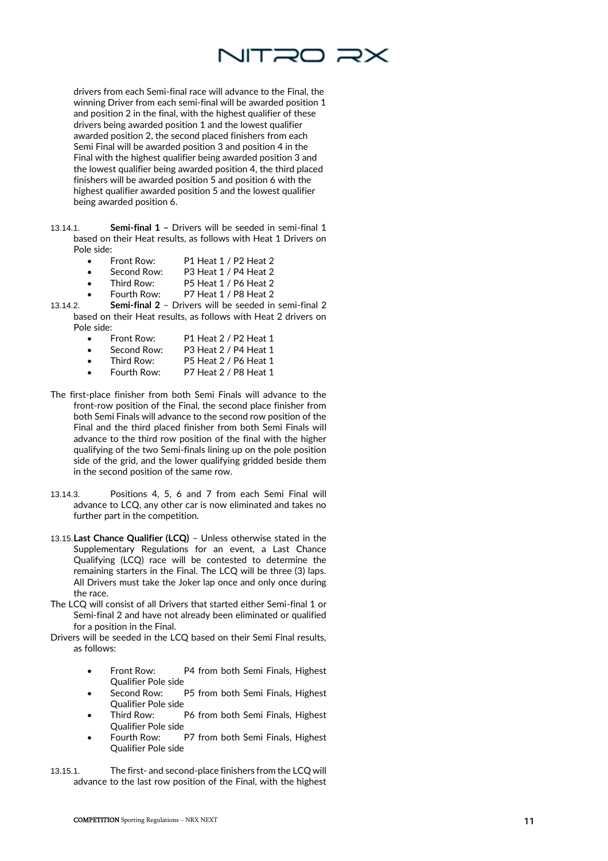

drivers from each Semi -final race will advance to the Final, the winning Driver from each semi -final will be awarded position 1 and position 2 in the final, with the highest qualifier of these drivers being awarded position 1 and the lowest qualifier awarded position 2, the second placed finishers from each Semi Final will be awarded position 3 and position 4 in the Final with the highest qualifier being awarded position 3 and the lowest qualifier being awarded position 4, the third placed finishers will be awarded position 5 and position 6 with the highest qualifier awarded position 5 and the lowest qualifier being awarded position 6.

- 13.14.1. **Semi -final 1 –** Drivers will be seeded in semi -final 1 based on their Heat results, as follows with Heat 1 Drivers on Pole side:
	- Front Row: P1 Heat 1 / P2 Heat 2
	- Second Row: P3 Heat 1 / P4 Heat 2
	- Third Row: P5 Heat 1 / P6 Heat 2
	- Fourth Row: P7 Heat 1 / P8 Heat 2
- 13.14.2. **Semi -final 2** – Drivers will be seeded in semi -final 2 based on their Heat results, as follows with Heat 2 drivers on Pole side:
	- Front Row: P1 Heat 2 / P2 Heat 1 Second Row: P3 Heat 2 / P4 Heat 1
	- Third Row: P5 Heat 2 / P6 Heat 1
	- Fourth Row: P7 Heat 2 / P8 Heat 1
- The first -place finisher from both Semi Finals will advance to the front -row position of the Final, the second place finisher from both Semi Finals will advance to the second row position of the Final and the third placed finisher from both Semi Finals will advance to the third row position of the final with the higher qualifying of the two Semi -finals lining up on the pole position side of the grid, and the lower qualifying gridded beside them in the second position of the same row.
- 13.14.3. Positions 4, 5, 6 and 7 from each Semi Final will advance to LCQ, any other car is now eliminated and takes no further part in the competition.
- 13.15.**Last Chance Qualifier (LCQ)** Unless otherwise stated in the Supplementary Regulations for an event, a Last Chance Qualifying (LCQ) race will be contested to determine the remaining starters in the Final. The LCQ will be three (3) laps. All Drivers must take the Joker lap once and only once during the race.
- The LCQ will consist of all Drivers that started either Semi -final 1 or Semi - final 2 and have not already been eliminated or qualified for a position in the Final.
- Drivers will be seeded in the LCQ based on their Semi Final results, as follows:
	- Front Row: P4 from both Semi Finals, Highest Qualifier Pole side
	- Second Row: P5 from both Semi Finals, Highest Qualifier Pole side
	- Third Row: P6 from both Semi Finals, Highest Qualifier Pole side
	- Fourth Row: P7 from both Semi Finals, Highest Qualifier Pole side
- 13.15.1. The first and second -place finishers from the LCQ will advance to the last row position of the Final, with the highest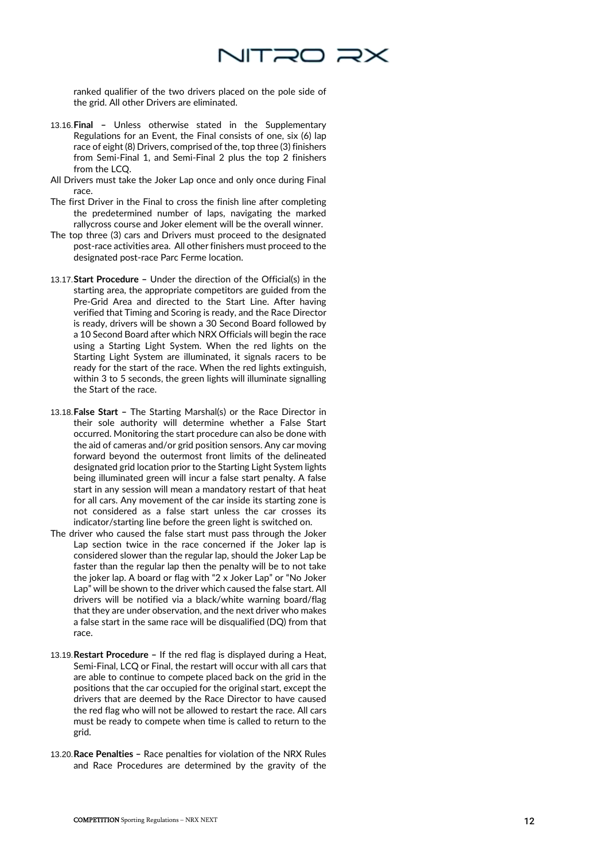

ranked qualifier of the two drivers placed on the pole side of the grid. All other Drivers are eliminated.

- 13.16.**Final –** Unless otherwise stated in the Supplementary Regulations for an Event, the Final consists of one, six (6) lap race of eight (8) Drivers, comprised of the, top three (3) finishers from Semi -Final 1, and Semi -Final 2 plus the top 2 finishers from the LCQ.
- All Drivers must take the Joker Lap once and only once during Final race.
- The first Driver in the Final to cross the finish line after completing the predetermined number of laps, navigating the marked rallycross course and Joker element will be the overall winner.
- The top three (3) cars and Drivers must proceed to the designated post -race activities area. All other finishers must proceed to the designated post -race Parc Ferme location.
- 13.17.**Start Procedure –** Under the direction of the Official(s) in the starting area, the appropriate competitors are guided from the Pre -Grid Area and directed to the Start Line. After having verified that Timing and Scoring is ready, and the Race Director is ready, drivers will be shown a 30 Second Board followed by a 10 Second Board after which NRX Officials will begin the race using a Starting Light System. When the red lights on the Starting Light System are illuminated, it signals racers to be ready for the start of the race. When the red lights extinguish, within 3 to 5 seconds, the green lights will illuminate signalling the Start of the race.
- 13.18. False Start The Starting Marshal(s) or the Race Director in their sole authority will determine whether a False Start occurred. Monitoring the start procedure can also be done with the aid of cameras and/or grid position sensors. Any car moving forward beyond the outermost front limits of the delineated designated grid location prior to the Starting Light System lights being illuminated green will incur a false start penalty. A false start in any session will mean a mandatory restart of that heat for all cars. Any movement of the car inside its starting zone is not considered as a false start unless the car crosses its indicator/starting line before the green light is switched on.
- The driver who caused the false start must pass through the Joker Lap section twice in the race concerned if the Joker lap is considered slower than the regular lap, should the Joker Lap be faster than the regular lap then the penalty will be to not take the joker lap. A board or flag with "2 x Joker Lap" or "No Joker Lap" will be shown to the driver which caused the false start. All drivers will be notified via a black/white warning board/flag that they are under observation, and the next driver who makes a false start in the same race will be disqualified (DQ) from that race.
- 13.19.**Restart Procedure –** If the red flag is displayed during a Heat, Semi -Final, LCQ or Final, the restart will occur with all cars that are able to continue to compete placed back on the grid in the positions that the car occupied for the original start, except the drivers that are deemed by the Race Director to have caused the red flag who will not be allowed to restart the race. All cars must be ready to compete when time is called to return to the grid.
- 13.20. Race Penalties Race penalties for violation of the NRX Rules and Race Procedures are determined by the gravity of the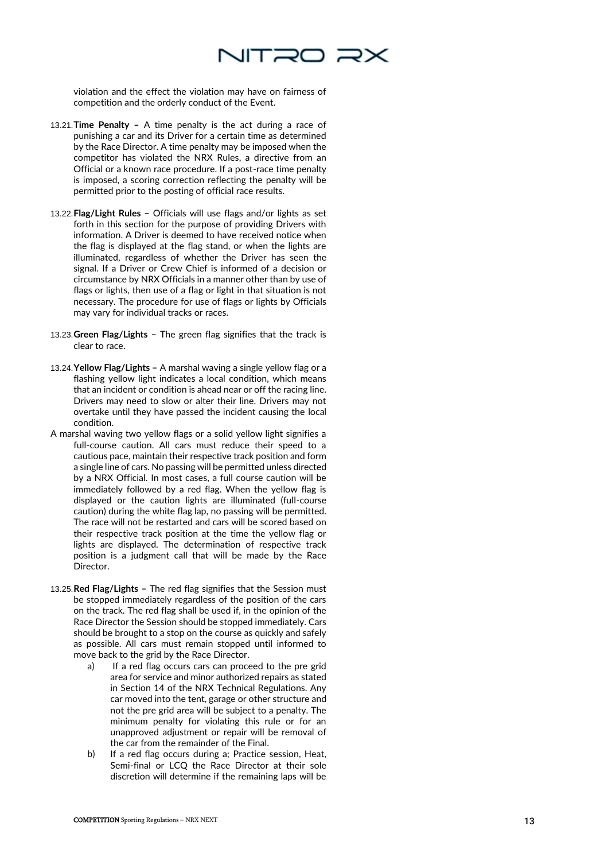

violation and the effect the violation may have on fairness of competition and the orderly conduct of the Event.

- 13.21.**Time Penalty –** A time penalty is the act during a race of punishing a car and its Driver for a certain time as determined by the Race Director. A time penalty may be imposed when the competitor has violated the NRX Rules, a directive from an Official or a known race procedure. If a post -race time penalty is imposed, a scoring correction reflecting the penalty will be permitted prior to the posting of official race results.
- 13.22.**Flag/Light Rules –** Officials will use flags and/or lights as set forth in this section for the purpose of providing Drivers with information. A Driver is deemed to have received notice when the flag is displayed at the flag stand, or when the lights are illuminated, regardless of whether the Driver has seen the signal. If a Driver or Crew Chief is informed of a decision or circumstance by NRX Officials in a manner other than by use of flags or lights, then use of a flag or light in that situation is not necessary. The procedure for use of flags or lights by Officials may vary for individual tracks or races.
- 13.23.**Green Flag/Lights –** The green flag signifies that the track is clear to race.
- 13.24.**Yellow Flag/Lights –** A marshal waving a single yellow flag or a flashing yellow light indicates a local condition, which means that an incident or condition is ahead near or off the racing line. Drivers may need to slow or alter their line. Drivers may not overtake until they have passed the incident causing the local condition.
- A marshal waving two yellow flags or a solid yellow light signifies a full -course caution. All cars must reduce their speed to a cautious pace, maintain their respective track position and form a single line of cars. No passing will be permitted unless directed by a NRX Official. In most cases, a full course caution will be immediately followed by a red flag. When the yellow flag is displayed or the caution lights are illuminated (full -course caution) during the white flag lap, no passing will be permitted. The race will not be restarted and cars will be scored based on their respective track position at the time the yellow flag or lights are displayed. The determination of respective track position is a judgment call that will be made by the Race **Director**
- 13.25.**Red Flag/Lights –** The red flag signifies that the Session must be stopped immediately regardless of the position of the cars on the track. The red flag shall be used if, in the opinion of the Race Director the Session should be stopped immediately. Cars should be brought to a stop on the course as quickly and safely as possible. All cars must remain stopped until informed to move back to the grid by the Race Director.
	- a) If a red flag occurs cars can proceed to the pre grid area for service and minor authorized repairs as stated in Section 14 of the NRX Technical Regulations. Any car moved into the tent, garage or other structure and not the pre grid area will be subject to a penalty. The minimum penalty for violating this rule or for an unapproved adjustment or repair will be removal of the car from the remainder of the Final.
	- b) If a red flag occurs during a; Practice session, Heat, Semi -final or LCQ the Race Director at their sole discretion will determine if the remaining laps will be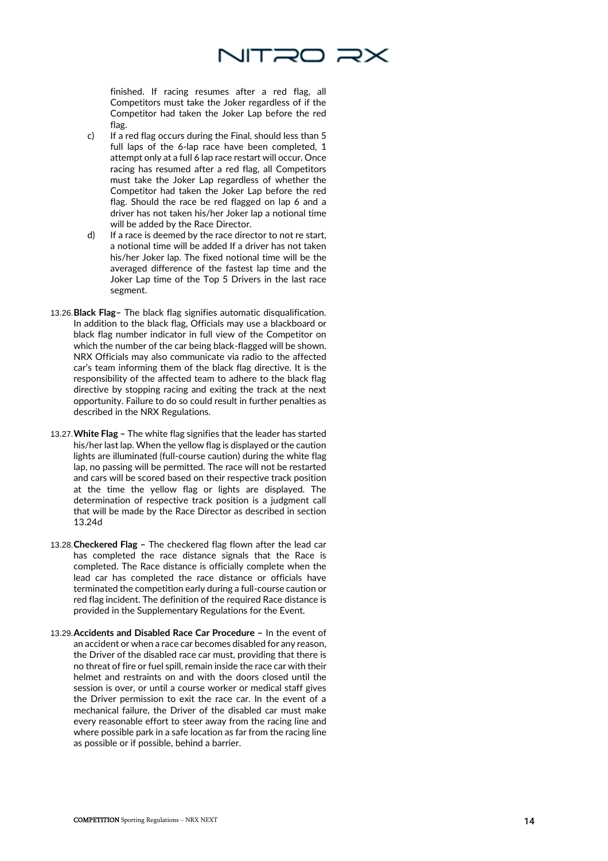

finished. If racing resumes after a red flag, all Competitors must take the Joker regardless of if the Competitor had taken the Joker Lap before the red flag.

- c) If a red flag occurs during the Final, should less than 5 full laps of the 6 -lap race have been completed, 1 attempt only at a full 6 lap race restart will occur. Once racing has resumed after a red flag, all Competitors must take the Joker Lap regardless of whether the Competitor had taken the Joker Lap before the red flag. Should the race be red flagged on lap 6 and a driver has not taken his/her Joker lap a notional time will be added by the Race Director.
- d) If a race is deemed by the race director to not re start, a notional time will be added If a driver has not taken his/her Joker lap. The fixed notional time will be the averaged difference of the fastest lap time and the Joker Lap time of the Top 5 Drivers in the last race segment.
- 13.26.**Black Flag –** The black flag signifies automatic disqualification. In addition to the black flag, Officials may use a blackboard or black flag number indicator in full view of the Competitor on which the number of the car being black -flagged will be shown. NRX Officials may also communicate via radio to the affected car's team informing them of the black flag directive. It is the responsibility of the affected team to adhere to the black flag directive by stopping racing and exiting the track at the next opportunity. Failure to do so could result in further penalties as described in the NRX Regulations.
- 13.27.**White Flag –** The white flag signifies that the leader has started his/her last lap. When the yellow flag is displayed or the caution lights are illuminated (full -course caution) during the white flag lap, no passing will be permitted. The race will not be restarted and cars will be scored based on their respective track position at the time the yellow flag or lights are displayed. The determination of respective track position is a judgment call that will be made by the Race Director as described in section 13.24d
- 13.28.**Checkered Flag –** The checkered flag flown after the lead car has completed the race distance signals that the Race is completed. The Race distance is officially complete when the lead car has completed the race distance or officials have terminated the competition early during a full -course caution or red flag incident. The definition of the required Race distance is provided in the Supplementary Regulations for the Event.
- 13.29.**Accidents and Disabled Race Car Procedure –** In the event of an accident or when a race car becomes disabled for any reason, the Driver of the disabled race car must, providing that there is no threat of fire or fuel spill, remain inside the race car with their helmet and restraints on and with the doors closed until the session is over, or until a course worker or medical staff gives the Driver permission to exit the race car. In the event of a mechanical failure, the Driver of the disabled car must make every reasonable effort to steer away from the racing line and where possible park in a safe location as far from the racing line as possible or if possible, behind a barrier.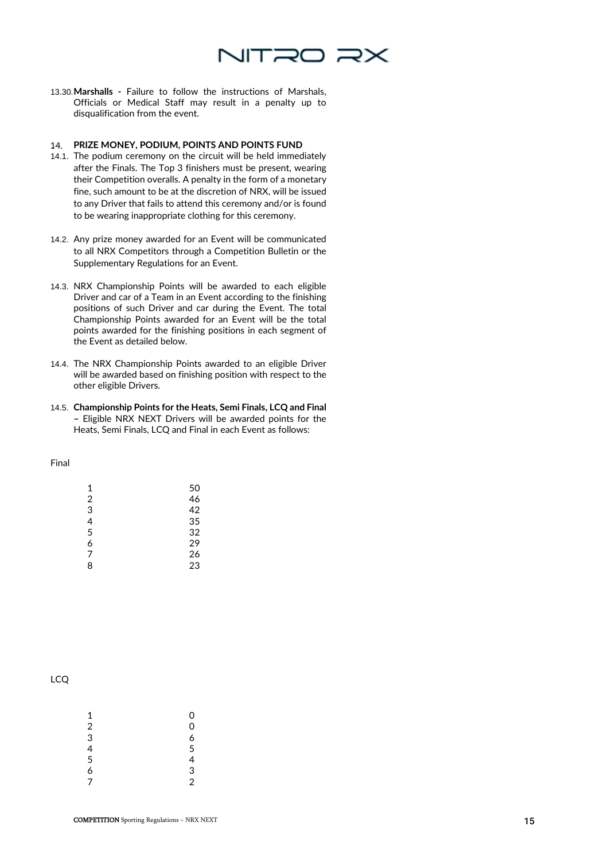

13.30.**Marshalls -** Failure to follow the instructions of Marshals, Officials or Medical Staff may result in a penalty up to disqualification from the event.

# **PRIZE MONEY, PODIUM, POINTS AND POINTS FUND**

- 14.1. The podium ceremony on the circuit will be held immediately after the Finals. The Top 3 finishers must be present, wearing their Competition overalls. A penalty in the form of a monetary fine, such amount to be at the discretion of NRX, will be issued to any Driver that fails to attend this ceremony and/or is found to be wearing inappropriate clothing for this ceremony.
- 14.2. Any prize money awarded for an Event will be communicated to all NRX Competitors through a Competition Bulletin or the Supplementary Regulations for an Event.
- 14.3. NRX Championship Points will be awarded to each eligible Driver and car of a Team in an Event according to the finishing positions of such Driver and car during the Event. The total Championship Points awarded for an Event will be the total points awarded for the finishing positions in each segment of the Event as detailed below.
- 14.4. The NRX Championship Points awarded to an eligible Driver will be awarded based on finishing position with respect to the other eligible Drivers.
- 14.5. **Championship Points for the Heats, Semi Finals, LCQ and Final –** Eligible NRX NEXT Drivers will be awarded points for the Heats, Semi Finals, LCQ and Final in each Event as follows:

### Final

| 1 | 50 |
|---|----|
| 2 | 46 |
| 3 | 42 |
| 4 | 35 |
| 5 | 32 |
| 6 | 29 |
| 7 | 26 |
| 8 | 23 |

# LCQ

| 1              | 0              |
|----------------|----------------|
| $\frac{1}{2}$  | 0              |
|                | 6              |
| 4              | 5              |
| $\overline{5}$ | 4              |
| 6              | 3              |
| $\overline{7}$ | $\overline{2}$ |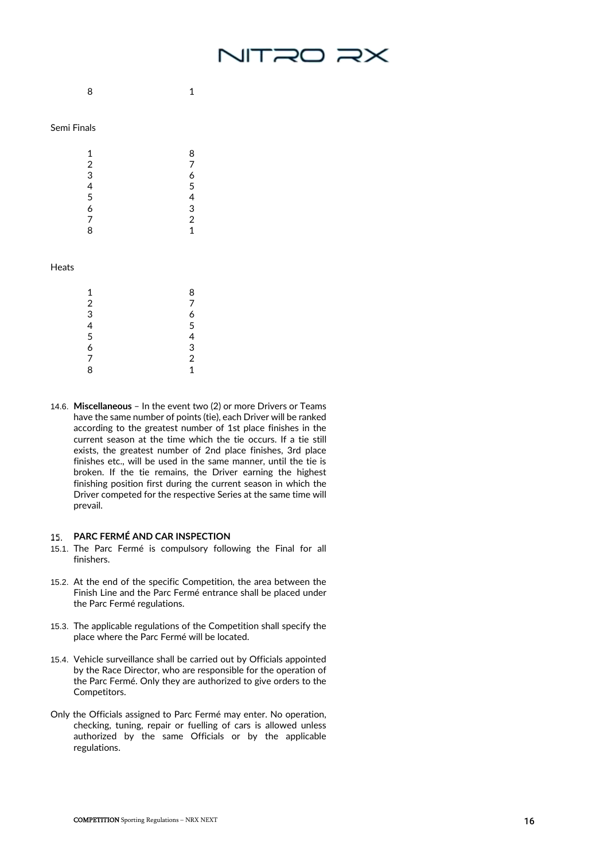

8 1

# Semi Finals

| 1 | 8              |
|---|----------------|
| 2 | 7              |
| 3 | 6              |
| 4 | 5              |
| 5 | 4              |
| 6 | 3              |
| 7 | $\overline{c}$ |
| 8 | 1              |
|   |                |

### Heats

| 1                | 8              |
|------------------|----------------|
| $\boldsymbol{2}$ | 7              |
| 3                | 6              |
| 4                | 5              |
| 5                | 4              |
| 6                | 3              |
| $\overline{7}$   | $\overline{2}$ |
| 8                | 1              |

14.6. **Miscellaneous** – In the event two (2) or more Drivers or Teams have the same number of points (tie), each Driver will be ranked according to the greatest number of 1st place finishes in the current season at the time which the tie occurs. If a tie still exists, the greatest number of 2nd place finishes, 3rd place finishes etc., will be used in the same manner, until the tie is broken. If the tie remains, the Driver earning the highest finishing position first during the current season in which the Driver competed for the respective Series at the same time will prevail.

### **PARC FERMÉ AND CAR INSPECTION**

- 15.1. The Parc Fermé is compulsory following the Final for all finishers.
- 15.2. At the end of the specific Competition, the area between the Finish Line and the Parc Fermé entrance shall be placed under the Parc Fermé regulations.
- 15.3. The applicable regulations of the Competition shall specify the place where the Parc Fermé will be located.
- 15.4. Vehicle surveillance shall be carried out by Officials appointed by the Race Director, who are responsible for the operation of the Parc Fermé. Only they are authorized to give orders to the Competitors.
- Only the Officials assigned to Parc Fermé may enter. No operation, checking, tuning, repair or fuelling of cars is allowed unless authorized by the same Officials or by the applicable regulations.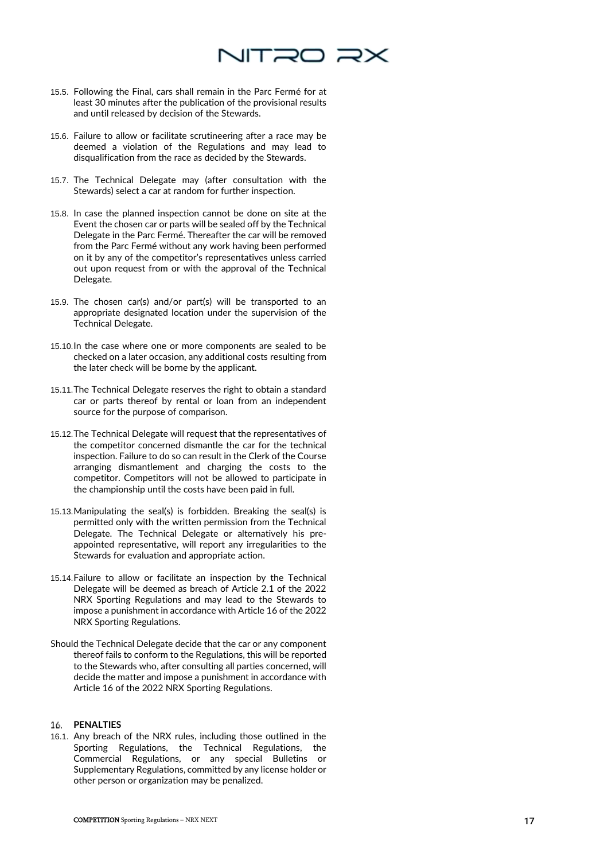

- 15.5. Following the Final, cars shall remain in the Parc Fermé for at least 30 minutes after the publication of the provisional results and until released by decision of the Stewards.
- 15.6. Failure to allow or facilitate scrutineering after a race may be deemed a violation of the Regulations and may lead to disqualification from the race as decided by the Stewards.
- 15.7. The Technical Delegate may (after consultation with the Stewards) select a car at random for further inspection.
- 15.8. In case the planned inspection cannot be done on site at the Event the chosen car or parts will be sealed off by the Technical Delegate in the Parc Fermé. Thereafter the car will be removed from the Parc Fermé without any work having been performed on it by any of the competitor's representatives unless carried out upon request from or with the approval of the Technical Delegate.
- 15.9. The chosen car(s) and/or part(s) will be transported to an appropriate designated location under the supervision of the Technical Delegate.
- 15.10.In the case where one or more components are sealed to be checked on a later occasion, any additional costs resulting from the later check will be borne by the applicant.
- 15.11.The Technical Delegate reserves the right to obtain a standard car or parts thereof by rental or loan from an independent source for the purpose of comparison.
- 15.12.The Technical Delegate will request that the representatives of the competitor concerned dismantle the car for the technical inspection. Failure to do so can result in the Clerk of the Course arranging dismantlement and charging the costs to the competitor. Competitors will not be allowed to participate in the championship until the costs have been paid in full.
- 15.13.Manipulating the seal(s) is forbidden. Breaking the seal(s) is permitted only with the written permission from the Technical Delegate. The Technical Delegate or alternatively his preappointed representative, will report any irregularities to the Stewards for evaluation and appropriate action.
- 15.14.Failure to allow or facilitate an inspection by the Technical Delegate will be deemed as breach of Article 2.1 of the 2022 NRX Sporting Regulations and may lead to the Stewards to impose a punishment in accordance with Article 16 of the 2022 NRX Sporting Regulations.
- Should the Technical Delegate decide that the car or any component thereof fails to conform to the Regulations, this will be reported to the Stewards who, after consulting all parties concerned, will decide the matter and impose a punishment in accordance with Article 16 of the 2022 NRX Sporting Regulations.

# **PENALTIES**

16.1. Any breach of the NRX rules, including those outlined in the Sporting Regulations, the Technical Regulations, the Commercial Regulations, or any special Bulletins or Supplementary Regulations, committed by any license holder or other person or organization may be penalized.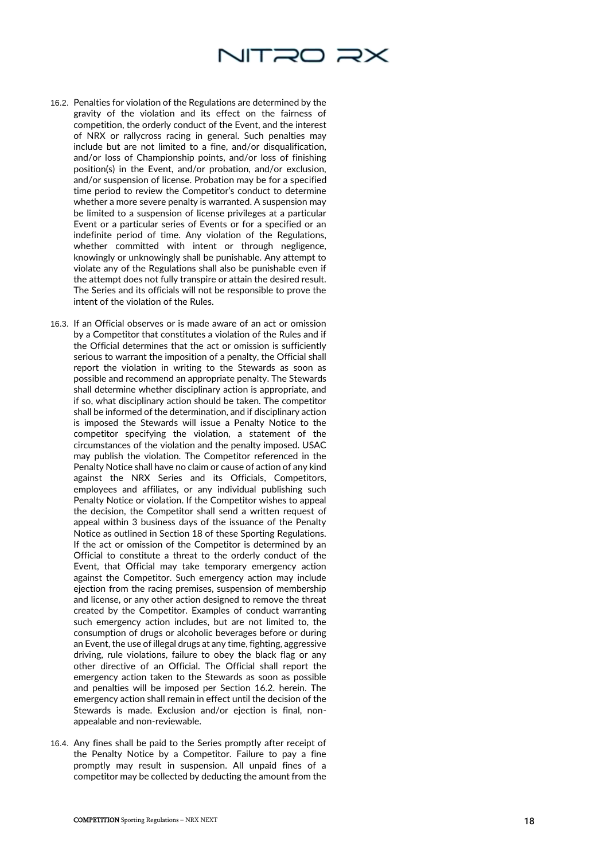

- 16.2. Penalties for violation of the Regulations are determined by the gravity of the violation and its effect on the fairness of competition, the orderly conduct of the Event, and the interest of NRX or rallycross racing in general. Such penalties may include but are not limited to a fine, and/or disqualification, and/or loss of Championship points, and/or loss of finishing position(s) in the Event, and/or probation, and/or exclusion, and/or suspension of license. Probation may be for a specified time period to review the Competitor's conduct to determine whether a more severe penalty is warranted. A suspension may be limited to a suspension of license privileges at a particular Event or a particular series of Events or for a specified or an indefinite period of time. Any violation of the Regulations, whether committed with intent or through negligence, knowingly or unknowingly shall be punishable. Any attempt to violate any of the Regulations shall also be punishable even if the attempt does not fully transpire or attain the desired result. The Series and its officials will not be responsible to prove the intent of the violation of the Rules.
- 16.3. If an Official observes or is made aware of an act or omission by a Competitor that constitutes a violation of the Rules and if the Official determines that the act or omission is sufficiently serious to warrant the imposition of a penalty, the Official shall report the violation in writing to the Stewards as soon as possible and recommend an appropriate penalty. The Stewards shall determine whether disciplinary action is appropriate, and if so, what disciplinary action should be taken. The competitor shall be informed of the determination, and if disciplinary action is imposed the Stewards will issue a Penalty Notice to the competitor specifying the violation, a statement of the circumstances of the violation and the penalty imposed. USAC may publish the violation. The Competitor referenced in the Penalty Notice shall have no claim or cause of action of any kind against the NRX Series and its Officials, Competitors, employees and affiliates, or any individual publishing such Penalty Notice or violation. If the Competitor wishes to appeal the decision, the Competitor shall send a written request of appeal within 3 business days of the issuance of the Penalty Notice as outlined in Section 18 of these Sporting Regulations. If the act or omission of the Competitor is determined by an Official to constitute a threat to the orderly conduct of the Event, that Official may take temporary emergency action against the Competitor. Such emergency action may include ejection from the racing premises, suspension of membership and license, or any other action designed to remove the threat created by the Competitor. Examples of conduct warranting such emergency action includes, but are not limited to, the consumption of drugs or alcoholic beverages before or during an Event, the use of illegal drugs at any time, fighting, aggressive driving, rule violations, failure to obey the black flag or any other directive of an Official. The Official shall report the emergency action taken to the Stewards as soon as possible and penalties will be imposed per Section 16.2. herein. The emergency action shall remain in effect until the decision of the Stewards is made. Exclusion and/or ejection is final, non appealable and non -reviewable.
- 16.4. Any fines shall be paid to the Series promptly after receipt of the Penalty Notice by a Competitor. Failure to pay a fine promptly may result in suspension. All unpaid fines of a competitor may be collected by deducting the amount from the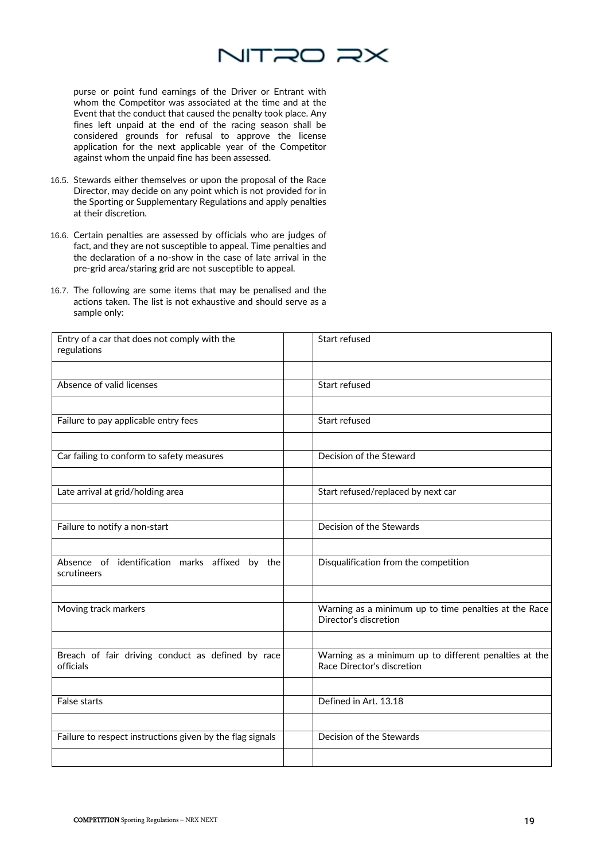

purse or point fund earnings of the Driver or Entrant with whom the Competitor was associated at the time and at the Event that the conduct that caused the penalty took place. Any fines left unpaid at the end of the racing season shall be considered grounds for refusal to approve the license application for the next applicable year of the Competitor against whom the unpaid fine has been assessed.

- 16.5. Stewards either themselves or upon the proposal of the Race Director, may decide on any point which is not provided for in the Sporting or Supplementary Regulations and apply penalties at their discretion.
- 16.6. Certain penalties are assessed by officials who are judges of fact, and they are not susceptible to appeal. Time penalties and the declaration of a no-show in the case of late arrival in the pre-grid area/staring grid are not susceptible to appeal.
- 16.7. The following are some items that may be penalised and the actions taken. The list is not exhaustive and should serve as a sample only:

| Entry of a car that does not comply with the<br>regulations    | Start refused                                                                       |
|----------------------------------------------------------------|-------------------------------------------------------------------------------------|
|                                                                |                                                                                     |
| Absence of valid licenses                                      | Start refused                                                                       |
|                                                                |                                                                                     |
| Failure to pay applicable entry fees                           | Start refused                                                                       |
|                                                                |                                                                                     |
| Car failing to conform to safety measures                      | Decision of the Steward                                                             |
|                                                                |                                                                                     |
| Late arrival at grid/holding area                              | Start refused/replaced by next car                                                  |
|                                                                |                                                                                     |
| Failure to notify a non-start                                  | Decision of the Stewards                                                            |
|                                                                |                                                                                     |
| Absence of identification marks affixed by the<br>scrutineers  | Disqualification from the competition                                               |
|                                                                |                                                                                     |
| Moving track markers                                           | Warning as a minimum up to time penalties at the Race<br>Director's discretion      |
|                                                                |                                                                                     |
| Breach of fair driving conduct as defined by race<br>officials | Warning as a minimum up to different penalties at the<br>Race Director's discretion |
|                                                                |                                                                                     |
| <b>False starts</b>                                            | Defined in Art. 13.18                                                               |
|                                                                |                                                                                     |
| Failure to respect instructions given by the flag signals      | Decision of the Stewards                                                            |
|                                                                |                                                                                     |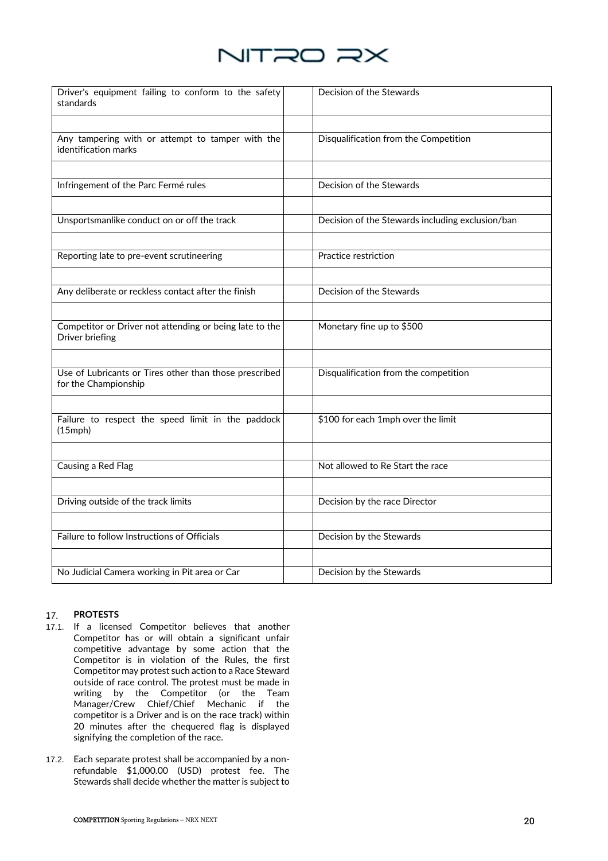

| Driver's equipment failing to conform to the safety<br>standards               | Decision of the Stewards                         |
|--------------------------------------------------------------------------------|--------------------------------------------------|
| Any tampering with or attempt to tamper with the<br>identification marks       | Disqualification from the Competition            |
|                                                                                |                                                  |
| Infringement of the Parc Fermé rules                                           | Decision of the Stewards                         |
|                                                                                |                                                  |
| Unsportsmanlike conduct on or off the track                                    | Decision of the Stewards including exclusion/ban |
|                                                                                |                                                  |
| Reporting late to pre-event scrutineering                                      | Practice restriction                             |
|                                                                                |                                                  |
| Any deliberate or reckless contact after the finish                            | Decision of the Stewards                         |
|                                                                                |                                                  |
| Competitor or Driver not attending or being late to the<br>Driver briefing     | Monetary fine up to \$500                        |
|                                                                                |                                                  |
| Use of Lubricants or Tires other than those prescribed<br>for the Championship | Disqualification from the competition            |
|                                                                                |                                                  |
| Failure to respect the speed limit in the paddock<br>$(15$ mph $)$             | \$100 for each 1mph over the limit               |
|                                                                                |                                                  |
| Causing a Red Flag                                                             | Not allowed to Re Start the race                 |
|                                                                                |                                                  |
| Driving outside of the track limits                                            | Decision by the race Director                    |
|                                                                                |                                                  |
| Failure to follow Instructions of Officials                                    | Decision by the Stewards                         |
|                                                                                |                                                  |
| No Judicial Camera working in Pit area or Car                                  | Decision by the Stewards                         |

### 17. **PROTESTS**

- 17.1. If a licensed Competitor believes that another Competitor has or will obtain a significant unfair competitive advantage by some action that the Competitor is in violation of the Rules, the first Competitor may protest such action to a Race Steward outside of race control. The protest must be made in writing by the Competitor (or the Team Manager/Crew Chief/Chief Mechanic if the competitor is a Driver and is on the race track) within 20 minutes after the chequered flag is displayed signifying the completion of the race.
- 17.2. Each separate protest shall be accompanied by a nonrefundable \$1,000.00 (USD) protest fee. The Stewards shall decide whether the matter is subject to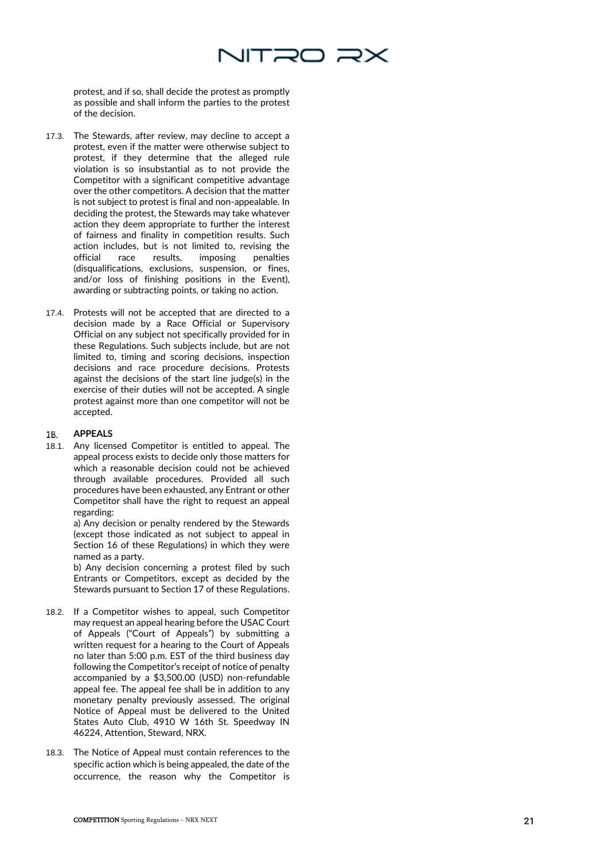

protest, and if so, shall decide the protest as promptly as possible and shall inform the parties to the protest of the decision.

- 17.3. The Stewards, after review, may decline to accept a protest, even if the matter were otherwise subject to protest, if they determine that the alleged rule violation is so insubstantial as to not provide the Competitor with a significant competitive advantage over the other competitors. A decision that the matter is not subject to protest is final and non -appealable. In deciding the protest, the Stewards may take whatever action they deem appropriate to further the interest of fairness and finality in competition results. Such action includes, but is not limited to, revising the official race results, imposing penalties (disqualifications, exclusions, suspension, or fines, and/or loss of finishing positions in the Event), awarding or subtracting points, or taking no action.
- 17.4. Protests will not be accepted that are directed to a decision made by a Race Official or Supervisory Official on any subject not specifically provided for in these Regulations. Such subjects include, but are not limited to, timing and scoring decisions, inspection decisions and race procedure decisions. Protests against the decisions of the start line judge(s) in the exercise of their duties will not be accepted. A single protest against more than one competitor will not be accepted.

### **APPEALS**  18.

18.1. Any licensed Competitor is entitled to appeal. The appeal process exists to decide only those matters for which a reasonable decision could not be achieved through available procedures. Provided all such procedures have been exhausted, any Entrant or other Competitor shall have the right to request an appeal regarding:

> a) Any decision or penalty rendered by the Stewards (except those indicated as not subject to appeal in Section 16 of these Regulations) in which they were named as a party.

> b) Any decision concerning a protest filed by such Entrants or Competitors, except as decided by the Stewards pursuant to Section 17 of these Regulations.

- 18.2. If a Competitor wishes to appeal, such Competitor may request an appeal hearing before the USAC Court of Appeals ("Court of Appeals") by submitting a written request for a hearing to the Court of Appeals no later than 5:00 p.m. EST of the third business day following the Competitor's receipt of notice of penalty accompanied by a \$3,500.00 (USD) non -refundable appeal fee. The appeal fee shall be in addition to any monetary penalty previously assessed. The original Notice of Appeal must be delivered to the United States Auto Club, 4910 W 16th St. Speedway IN 46224, Attention, Steward, NRX.
- 18.3. The Notice of Appeal must contain references to the specific action which is being appealed, the date of the occurrence, the reason why the Competitor is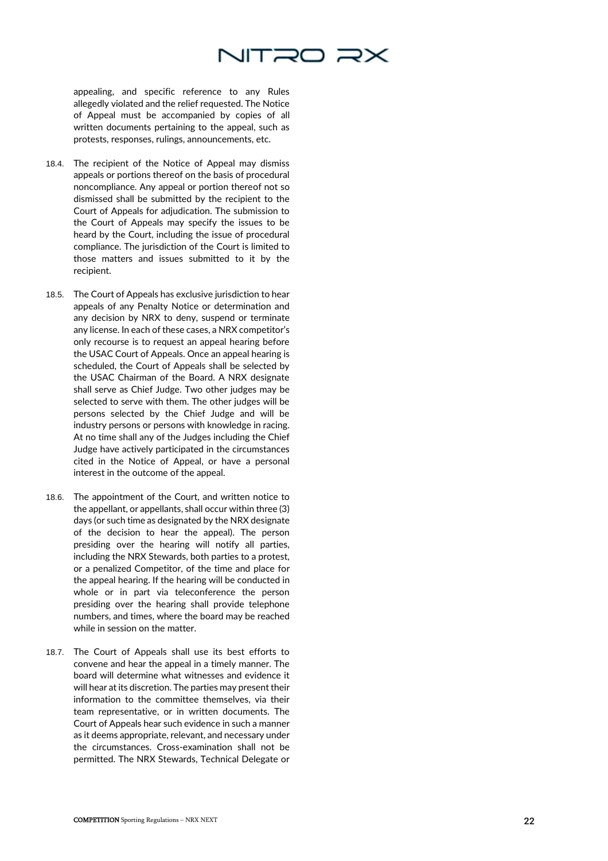

appealing, and specific reference to any Rules allegedly violated and the relief requested. The Notice of Appeal must be accompanied by copies of all written documents pertaining to the appeal, such as protests, responses, rulings, announcements, etc.

- 18.4. The recipient of the Notice of Appeal may dismiss appeals or portions thereof on the basis of procedural noncompliance. Any appeal or portion thereof not so dismissed shall be submitted by the recipient to the Court of Appeals for adjudication. The submission to the Court of Appeals may specify the issues to be heard by the Court, including the issue of procedural compliance. The jurisdiction of the Court is limited to those matters and issues submitted to it by the recipient.
- 18.5. The Court of Appeals has exclusive jurisdiction to hear appeals of any Penalty Notice or determination and any decision by NRX to deny, suspend or terminate any license. In each of these cases, a NRX competitor's only recourse is to request an appeal hearing before the USAC Court of Appeals. Once an appeal hearing is scheduled, the Court of Appeals shall be selected by the USAC Chairman of the Board. A NRX designate shall serve as Chief Judge. Two other judges may be selected to serve with them. The other judges will be persons selected by the Chief Judge and will be industry persons or persons with knowledge in racing. At no time shall any of the Judges including the Chief Judge have actively participated in the circumstances cited in the Notice of Appeal, or have a personal interest in the outcome of the appeal.
- 18.6. The appointment of the Court, and written notice to the appellant, or appellants, shall occur within three (3) days (or such time as designated by the NRX designate of the decision to hear the appeal). The person presiding over the hearing will notify all parties, including the NRX Stewards, both parties to a protest, or a penalized Competitor, of the time and place for the appeal hearing. If the hearing will be conducted in whole or in part via teleconference the person presiding over the hearing shall provide telephone numbers, and times, where the board may be reached while in session on the matter.
- 18.7. The Court of Appeals shall use its best efforts to convene and hear the appeal in a timely manner. The board will determine what witnesses and evidence it will hear at its discretion. The parties may present their information to the committee themselves, via their team representative, or in written documents. The Court of Appeals hear such evidence in such a manner as it deems appropriate, relevant, and necessary under the circumstances. Cross -examination shall not be permitted. The NRX Stewards, Technical Delegate or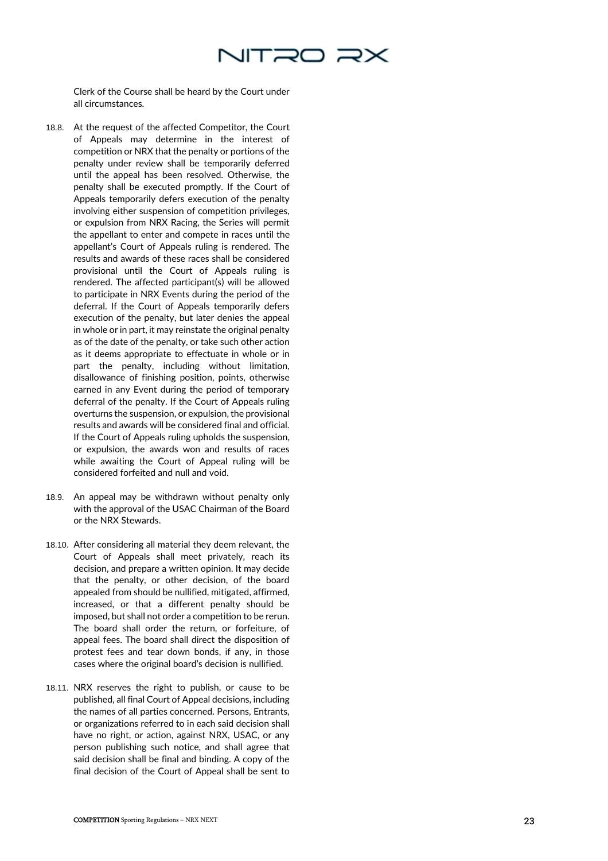

Clerk of the Course shall be heard by the Court under all circumstances.

- 18.8. At the request of the affected Competitor, the Court of Appeals may determine in the interest of competition or NRX that the penalty or portions of the penalty under review shall be temporarily deferred until the appeal has been resolved. Otherwise, the penalty shall be executed promptly. If the Court of Appeals temporarily defers execution of the penalty involving either suspension of competition privileges, or expulsion from NRX Racing, the Series will permit the appellant to enter and compete in races until the appellant's Court of Appeals ruling is rendered. The results and awards of these races shall be considered provisional until the Court of Appeals ruling is rendered. The affected participant(s) will be allowed to participate in NRX Events during the period of the deferral. If the Court of Appeals temporarily defers execution of the penalty, but later denies the appeal in whole or in part, it may reinstate the original penalty as of the date of the penalty, or take such other action as it deems appropriate to effectuate in whole or in part the penalty, including without limitation, disallowance of finishing position, points, otherwise earned in any Event during the period of temporary deferral of the penalty. If the Court of Appeals ruling overturns the suspension, or expulsion, the provisional results and awards will be considered final and official. If the Court of Appeals ruling upholds the suspension, or expulsion, the awards won and results of races while awaiting the Court of Appeal ruling will be considered forfeited and null and void.
- 18.9. An appeal may be withdrawn without penalty only with the approval of the USAC Chairman of the Board or the NRX Stewards.
- 18.10. After considering all material they deem relevant, the Court of Appeals shall meet privately, reach its decision, and prepare a written opinion. It may decide that the penalty, or other decision, of the board appealed from should be nullified, mitigated, affirmed, increased, or that a different penalty should be imposed, but shall not order a competition to be rerun. The board shall order the return, or forfeiture, of appeal fees. The board shall direct the disposition of protest fees and tear down bonds, if any, in those cases where the original board's decision is nullified.
- 18.11. NRX reserves the right to publish, or cause to be published, all final Court of Appeal decisions, including the names of all parties concerned. Persons, Entrants, or organizations referred to in each said decision shall have no right, or action, against NRX, USAC, or any person publishing such notice, and shall agree that said decision shall be final and binding. A copy of the final decision of the Court of Appeal shall be sent to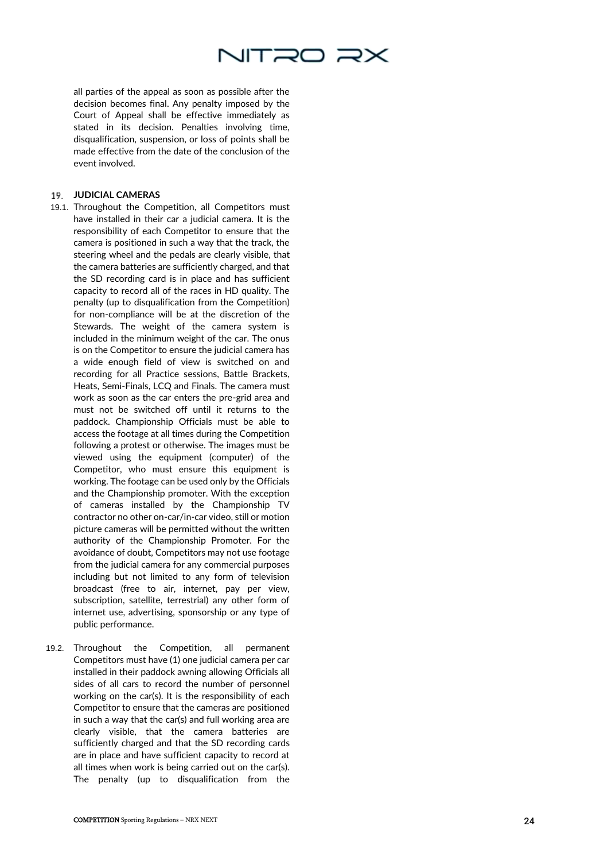

all parties of the appeal as soon as possible after the decision becomes final. Any penalty imposed by the Court of Appeal shall be effective immediately as stated in its decision. Penalties involving time, disqualification, suspension, or loss of points shall be made effective from the date of the conclusion of the event involved.

### **JUDICIAL CAMERAS**

- 19.1. Throughout the Competition, all Competitors must have installed in their car a judicial camera. It is the responsibility of each Competitor to ensure that the camera is positioned in such a way that the track, the steering wheel and the pedals are clearly visible, that the camera batteries are sufficiently charged, and that the SD recording card is in place and has sufficient capacity to record all of the races in HD quality. The penalty (up to disqualification from the Competition) for non -compliance will be at the discretion of the Stewards. The weight of the camera system is included in the minimum weight of the car. The onus is on the Competitor to ensure the judicial camera has a wide enough field of view is switched on and recording for all Practice sessions, Battle Brackets, Heats, Semi -Finals, LCQ and Finals. The camera must work as soon as the car enters the pre -grid area and must not be switched off until it returns to the paddock. Championship Officials must be able to access the footage at all times during the Competition following a protest or otherwise. The images must be viewed using the equipment (computer) of the Competitor, who must ensure this equipment is working. The footage can be used only by the Officials and the Championship promoter. With the exception of cameras installed by the Championship TV contractor no other on -car/in -car video, still or motion picture cameras will be permitted without the written authority of the Championship Promoter. For the avoidance of doubt, Competitors may not use footage from the judicial camera for any commercial purposes including but not limited to any form of television broadcast (free to air, internet, pay per view, subscription, satellite, terrestrial) any other form of internet use, advertising, sponsorship or any type of public performance.
- 19.2. Throughout the Competition, all permanent Competitors must have (1) one judicial camera per car installed in their paddock awning allowing Officials all sides of all cars to record the number of personnel working on the car(s). It is the responsibility of each Competitor to ensure that the cameras are positioned in such a way that the car(s) and full working area are clearly visible, that the camera batteries are sufficiently charged and that the SD recording cards are in place and have sufficient capacity to record at all times when work is being carried out on the car(s). The penalty (up to disqualification from the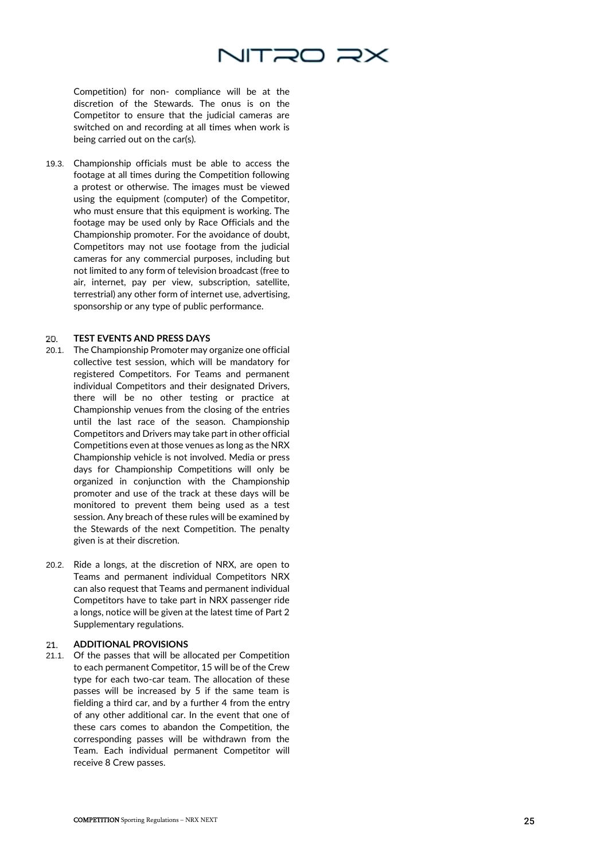

Competition) for non - compliance will be at the discretion of the Stewards. The onus is on the Competitor to ensure that the judicial cameras are switched on and recording at all times when work is being carried out on the car(s).

19.3. Championship officials must be able to access the footage at all times during the Competition following a protest or otherwise. The images must be viewed using the equipment (computer) of the Competitor, who must ensure that this equipment is working. The footage may be used only by Race Officials and the Championship promoter. For the avoidance of doubt, Competitors may not use footage from the judicial cameras for any commercial purposes, including but not limited to any form of television broadcast (free to air, internet, pay per view, subscription, satellite, terrestrial) any other form of internet use, advertising, sponsorship or any type of public performance.

#### **TEST EVENTS AND PRESS DAYS**  20.

- 20.1. The Championship Promoter may organize one official collective test session, which will be mandatory for registered Competitors. For Teams and permanent individual Competitors and their designated Drivers, there will be no other testing or practice at Championship venues from the closing of the entries until the last race of the season. Championship Competitors and Drivers may take part in other official Competitions even at those venues as long as the NRX Championship vehicle is not involved. Media or press days for Championship Competitions will only be organized in conjunction with the Championship promoter and use of the track at these days will be monitored to prevent them being used as a test session. Any breach of these rules will be examined by the Stewards of the next Competition. The penalty given is at their discretion.
- 20.2. Ride a longs, at the discretion of NRX, are open to Teams and permanent individual Competitors NRX can also request that Teams and permanent individual Competitors have to take part in NRX passenger ride a longs, notice will be given at the latest time of Part 2 Supplementary regulations.

### **ADDITIONAL PROVISIONS**  21.

21.1. Of the passes that will be allocated per Competition to each permanent Competitor, 15 will be of the Crew type for each two -car team. The allocation of these passes will be increased by 5 if the same team is fielding a third car, and by a further 4 from the entry of any other additional car. In the event that one of these cars comes to abandon the Competition, the corresponding passes will be withdrawn from the Team. Each individual permanent Competitor will receive 8 Crew passes.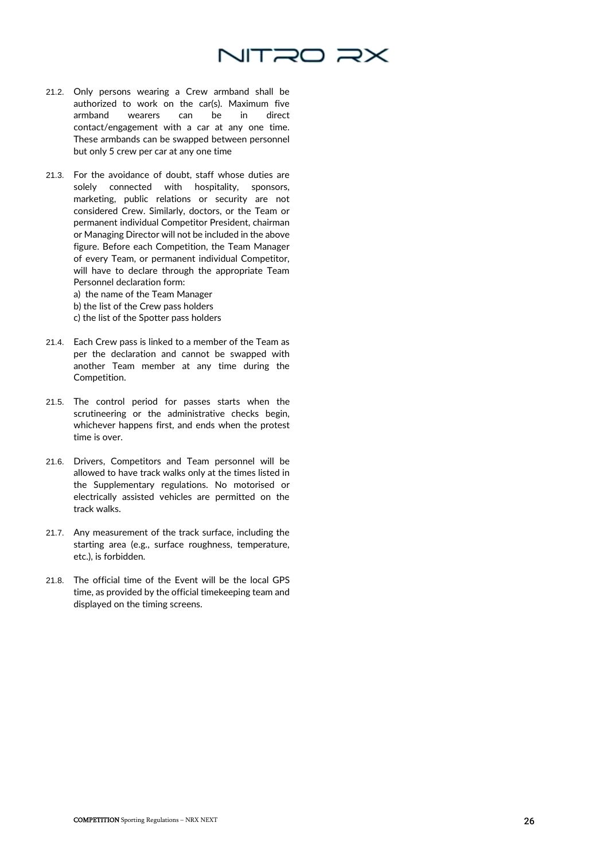

- 21.2. Only persons wearing a Crew armband shall be authorized to work on the car(s). Maximum five armband wearers can be in direct contact/engagement with a car at any one time. These armbands can be swapped between personnel but only 5 crew per car at any one time
- 21.3. For the avoidance of doubt, staff whose duties are solely connected with hospitality, sponsors, marketing, public relations or security are not considered Crew. Similarly, doctors, or the Team or permanent individual Competitor President, chairman or Managing Director will not be included in the above figure. Before each Competition, the Team Manager of every Team, or permanent individual Competitor, will have to declare through the appropriate Team Personnel declaration form:
	- a) the name of the Team Manager
	- b) the list of the Crew pass holders
	- c) the list of the Spotter pass holders
- 21.4. Each Crew pass is linked to a member of the Team as per the declaration and cannot be swapped with another Team member at any time during the Competition.
- 21.5. The control period for passes starts when the scrutineering or the administrative checks begin, whichever happens first, and ends when the protest time is over.
- 21.6. Drivers, Competitors and Team personnel will be allowed to have track walks only at the times listed in the Supplementary regulations. No motorised or electrically assisted vehicles are permitted on the track walks.
- 21.7. Any measurement of the track surface, including the starting area (e.g., surface roughness, temperature, etc.), is forbidden.
- 21.8. The official time of the Event will be the local GPS time, as provided by the official timekeeping team and displayed on the timing screens.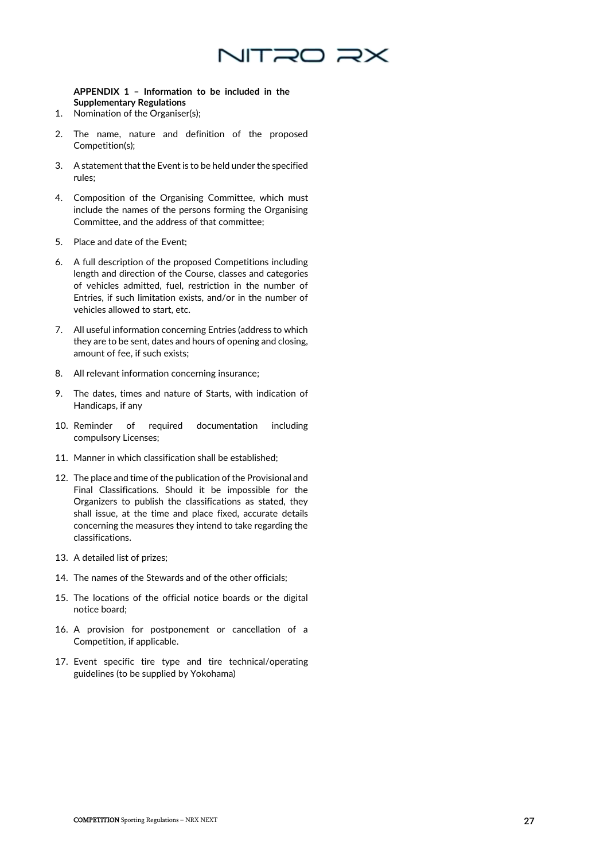

# **APPENDIX 1 – Information to be included in the Supplementary Regulations**

- 1. Nomination of the Organiser(s);
- 2. The name, nature and definition of the proposed Competition(s);
- 3. A statement that the Event is to be held under the specified rules;
- 4. Composition of the Organising Committee, which must include the names of the persons forming the Organising Committee, and the address of that committee;
- 5. Place and date of the Event;
- 6. A full description of the proposed Competitions including length and direction of the Course, classes and categories of vehicles admitted, fuel, restriction in the number of Entries, if such limitation exists, and/or in the number of vehicles allowed to start, etc.
- 7. All useful information concerning Entries (address to which they are to be sent, dates and hours of opening and closing, amount of fee, if such exists;
- 8. All relevant information concerning insurance;
- 9. The dates, times and nature of Starts, with indication of Handicaps, if any
- 10. Reminder of required documentation including compulsory Licenses;
- 11. Manner in which classification shall be established;
- 12. The place and time of the publication of the Provisional and Final Classifications. Should it be impossible for the Organizers to publish the classifications as stated, they shall issue, at the time and place fixed, accurate details concerning the measures they intend to take regarding the classifications.
- 13. A detailed list of prizes;
- 14. The names of the Stewards and of the other officials;
- 15. The locations of the official notice boards or the digital notice board;
- 16. A provision for postponement or cancellation of a Competition, if applicable.
- 17. Event specific tire type and tire technical/operating guidelines (to be supplied by Yokohama)